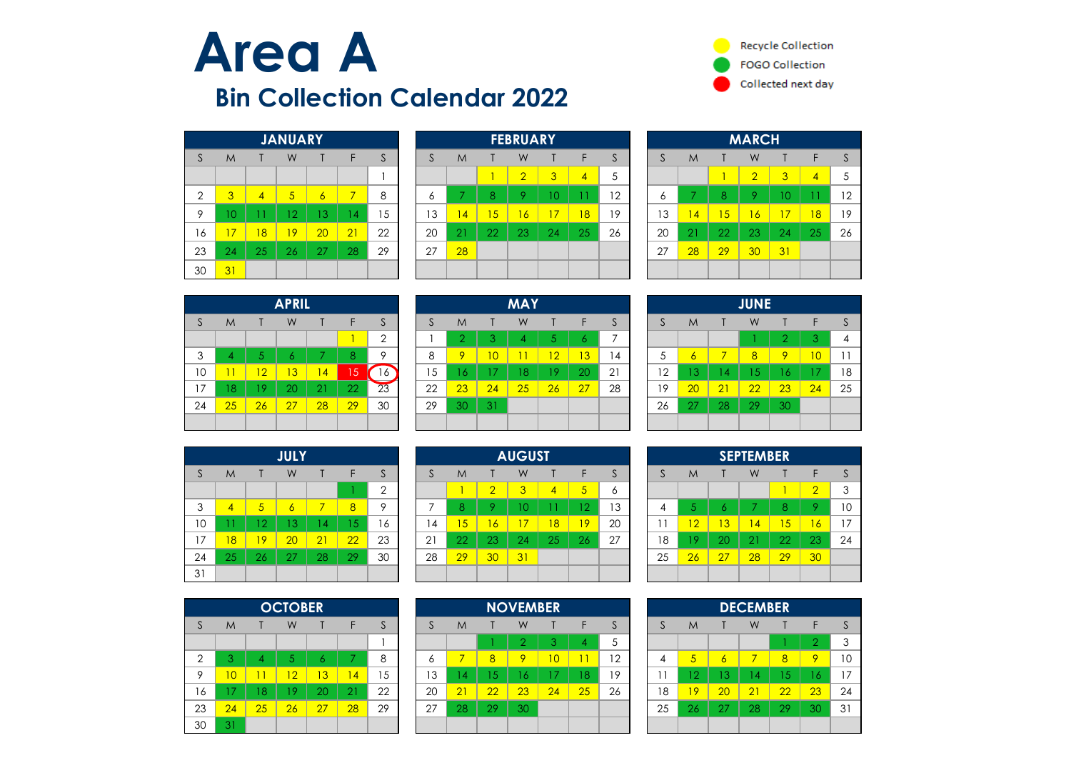



|                |    |                | <b>JANUARY</b> |    |    |    |
|----------------|----|----------------|----------------|----|----|----|
| S              | M  |                | W              |    | F  | S  |
|                |    |                |                |    |    |    |
| $\overline{2}$ | 3  | $\overline{4}$ | 5              | 6  | 7  | 8  |
| 9              | 10 | 11             | 12             | 13 | 14 | 15 |
| 16             | 17 | 18             | 19             | 20 | 21 | 22 |
| 23             | 24 | 25             | 26             | 27 | 28 | 29 |
| 30             | 31 |                |                |    |    |    |

|              |         |    | <b>JANUARY</b>  |    |                |             |    |            |              | <b>FEBRUARY</b> |              |                |    |    |                |    | <b>MARCH</b>   |    |                |    |
|--------------|---------|----|-----------------|----|----------------|-------------|----|------------|--------------|-----------------|--------------|----------------|----|----|----------------|----|----------------|----|----------------|----|
| <sub>S</sub> | M       |    | W               |    |                | $\sim$<br>ю | æ  | M          |              | W               |              |                | C. |    | M              |    | W              |    |                | S  |
|              |         |    |                 |    |                |             |    |            |              | $\overline{2}$  | $\mathbf{3}$ | $\overline{4}$ | ა  |    |                |    | $\overline{2}$ | 3  | $\overline{4}$ | 5  |
| 2            | 3       | 4  | $\sqrt{2}$<br>◡ | 6  |                | 8           |    |            | $\circ$<br>Ο |                 | ΙU           |                | 12 | O  |                | 8  | 9              | 10 |                | 12 |
| 9            | $\circ$ |    | $\overline{2}$  | 13 | $\overline{4}$ | 15          | 13 | $\sqrt{4}$ | 5            | 6               | $\sqrt{7}$   | 18             | 19 | 13 | 44             | 15 | $\sqrt{6}$     |    | 18             | 19 |
| 16           | 7       | 18 | 9               | 20 | 21             | 22          | 20 | 21         | 22           | 23              | 24           | 25             | 26 | 20 | 2 <sup>1</sup> | 22 | 23             | 24 | 25             | 26 |
| 23           | 24      | 25 | 26              | 27 | 28             | 29          | 27 | 28         |              |                 |              |                |    | 27 | 28             | 29 | 30             | 31 |                |    |
| 30           | 31      |    |                 |    |                |             |    |            |              |                 |              |                |    |    |                |    |                |    |                |    |

| <b>MARCH</b> |                  |    |                |                |                |    |  |  |  |  |  |  |  |
|--------------|------------------|----|----------------|----------------|----------------|----|--|--|--|--|--|--|--|
| S            | F<br>S<br>W<br>M |    |                |                |                |    |  |  |  |  |  |  |  |
|              |                  |    | $\overline{2}$ | $\overline{3}$ | $\overline{4}$ | 5  |  |  |  |  |  |  |  |
| 6            | 7                | 8  | 9              | 10             | 11             | 12 |  |  |  |  |  |  |  |
| 13           | 14               | 15 | 16             | 17             | 18             | 19 |  |  |  |  |  |  |  |
| 20           | 21               | 22 | 23             | 24             | 25             | 26 |  |  |  |  |  |  |  |
| 27           | 28               | 29 | 30             | 31             |                |    |  |  |  |  |  |  |  |
|              |                  |    |                |                |                |    |  |  |  |  |  |  |  |

|    | <b>APRIL</b> |    |    |    |    |                |  |  |  |  |  |  |  |  |
|----|--------------|----|----|----|----|----------------|--|--|--|--|--|--|--|--|
| S  | M            |    | W  |    | F  | S              |  |  |  |  |  |  |  |  |
|    |              |    |    |    |    | $\overline{2}$ |  |  |  |  |  |  |  |  |
| 3  | 4            | 5  | 6  | 7  | 8  | 9              |  |  |  |  |  |  |  |  |
| 10 | 11           | 12 | 13 | 14 | 15 | 16             |  |  |  |  |  |  |  |  |
| 17 | 18           | 19 | 20 | 21 | 22 | 23             |  |  |  |  |  |  |  |  |
| 24 | 25           | 26 | 27 | 28 | 29 | 30             |  |  |  |  |  |  |  |  |
|    |              |    |    |    |    |                |  |  |  |  |  |  |  |  |

|    |                |    | <b>JULY</b> |    |    |                |
|----|----------------|----|-------------|----|----|----------------|
| S  | M              |    | W           | Т  | F  | S              |
|    |                |    |             |    |    | $\overline{2}$ |
| 3  | $\overline{4}$ | 5  | 6           | 7  | 8  | 9              |
| 10 | 11             | 12 | 13          | 14 | 15 | 16             |
| 17 | 18             | 19 | 20          | 21 | 22 | 23             |
| 24 | 25             | 26 | 27          | 28 | 29 | 30             |
| 31 |                |    |             |    |    |                |

|                |    |                          | <b>OCTOBER</b> |    |    |    |
|----------------|----|--------------------------|----------------|----|----|----|
| <sub>S</sub>   | M  |                          | W              |    | F  | S  |
|                |    |                          |                |    |    |    |
| $\overline{2}$ | 3  | $\overline{\mathcal{A}}$ | 5              | К  |    | 8  |
| 9              | 10 |                          | 12             | 13 | 14 | 15 |
| 16             | 17 | 18                       | 19             | 20 | 21 | 22 |
| 23             | 24 | 25                       | 26             | 27 | 28 | 29 |
| 30             | 31 |                          |                |    |    |    |

|    |              |    | <b>APRIL</b>  |    |           |            |    |    |                | <b>MAY</b> |    |    |            |    |         |    | <b>JUNE</b> |        |    |    |
|----|--------------|----|---------------|----|-----------|------------|----|----|----------------|------------|----|----|------------|----|---------|----|-------------|--------|----|----|
| S  | M            |    | W             |    |           | $\sim$     |    | M  |                | W          |    |    |            |    | M       |    | W           |        | F  |    |
|    |              |    |               |    |           | $\sqrt{2}$ |    | h  | O.             |            |    | Ō. |            |    |         |    |             | $\cap$ |    | 4  |
| 3  | 4            |    |               |    |           |            | 8  | 9  | $\overline{0}$ |            | 12 | 13 | $\sqrt{4}$ | C  | $\circ$ |    | 8           | 9      | 10 | 11 |
| 10 | $\mathbf{1}$ | 12 | 13            | 14 | 5         | 16         | 15 | 16 | 7              | 18         | 9  | 20 | 21         | 12 | 13      | 14 | 15          | -6     |    | 18 |
| 17 | 8            | -9 | 20            | 21 | 22        | 23         | 22 | 23 | 24             | 25         | 26 | 27 | 28         | 19 | 20      | 21 | 22          | 23     | 24 | 25 |
| 24 | 25           | 26 | $^{\prime}27$ | 28 | <b>29</b> | 30         | 29 | 30 | 31             |            |    |    |            | 26 | -27     | 28 | 29          | 30     |    |    |
|    |              |    |               |    |           |            |    |    |                |            |    |    |            |    |         |    |             |        |    |    |

|    |    |    | <b>JULY</b>        |                 |            |    |                |    |                | <b>AUGUST</b> |                |            |         |    |          |    | <b>SEPTEMBER</b> |     |               |    |
|----|----|----|--------------------|-----------------|------------|----|----------------|----|----------------|---------------|----------------|------------|---------|----|----------|----|------------------|-----|---------------|----|
| S  | M  |    | W                  |                 |            |    | w              | M  |                | W             |                |            |         |    | M        |    | W                |     |               |    |
|    |    |    |                    |                 |            |    |                |    |                | 3             | 4              | $\sqrt{5}$ | $\circ$ |    |          |    |                  |     | $\Omega$<br>∼ | 3  |
| 3  | 4  | ь  | 6                  |                 | 8          | C  |                | 8  |                |               |                | ۱n.<br>ΙZ  | 13      |    |          | O  |                  |     |               | 10 |
| 10 |    | -2 | 3                  | 4               | $\sqrt{5}$ | 16 | $\overline{4}$ | 5  | $\overline{6}$ |               | $\overline{8}$ | 19         | 20      |    | ומו<br>∸ | 13 | $\sqrt{4}$       | I5. | 167           | 17 |
| 17 | 8  | 19 | 20                 | $\overline{21}$ | 22         | 23 | $2^{\circ}$    | 22 | 23             | 24            | 25             | 26         | 27      | 18 | $\circ$  | 20 | $\overline{2}1$  | 22  | 23            | 24 |
| 24 | 25 | 26 | $\cap$<br><b>L</b> | 28              | 29         | 30 | 28             | 29 | 30             | 31            |                |            |         | 25 | 26       | 27 | 28               | 29  | 30            |    |
| 31 |    |    |                    |                 |            |    |                |    |                |               |                |            |         |    |          |    |                  |     |               |    |

|                |                |    | <b>OCTOBER</b> |               |                |    |         |    |                | <b>NOVEMBER</b> |                |    |         |    |            |    | <b>DECEMBER</b> |    |         |    |
|----------------|----------------|----|----------------|---------------|----------------|----|---------|----|----------------|-----------------|----------------|----|---------|----|------------|----|-----------------|----|---------|----|
| S              | M              |    | W              |               |                |    | $\cdot$ | M  |                | W               |                |    | $\cdot$ |    | M          |    | W               |    |         |    |
|                |                |    |                |               |                |    |         |    |                |                 |                | 4  |         |    |            |    |                 |    |         | 3  |
| $\overline{2}$ |                |    |                | 6             |                | 8  | O       |    | $\overline{8}$ | $\circ$         | $\overline{0}$ |    | 12      |    | $\sqrt{5}$ | 6  |                 | 8  | $\circ$ | 10 |
| 9              | $\overline{0}$ |    | 12             | 13            | $\overline{4}$ | 5  | 13      | 74 | 5              | $\circ$         |                | 18 | 19      |    | ר ו        | 13 | 4               | A. | O       | 17 |
| 16             |                | 8  | 9              | 20            | o.<br>z.       | 22 | 20      | 21 | 22             | 23              | 24             | 25 | 26      | 18 | 19.        | 20 | $\overline{21}$ | 22 | 23      | 24 |
| 23             | 24             | 25 | 26             | $^{\prime}27$ | 28             | 29 | 27      | 28 | 29             | 30              |                |    |         | 25 | 26         | 27 | 28              | 29 | 30      | 31 |
| 30             | 31             |    |                |               |                |    |         |    |                |                 |                |    |         |    |            |    |                 |    |         |    |

|    |    |    | <b>JUNE</b> |                |    |    |
|----|----|----|-------------|----------------|----|----|
| S  | M  |    | W           |                | F  | S  |
|    |    |    |             | $\overline{2}$ | 3  |    |
| 5  | 6  | 7  | 8           | 9              | 10 | 11 |
| 12 | 13 | 14 | 15          | 16             | 17 | 18 |
| 19 | 20 | 21 | 22          | 23             | 24 | 25 |
| 26 | 27 | 28 | 29          | 30             |    |    |
|    |    |    |             |                |    |    |

|                       | <b>SEPTEMBER</b> |    |    |    |                |    |  |  |  |  |  |  |  |  |
|-----------------------|------------------|----|----|----|----------------|----|--|--|--|--|--|--|--|--|
| S<br>F<br>M<br>W<br>S |                  |    |    |    |                |    |  |  |  |  |  |  |  |  |
|                       |                  |    |    |    | $\overline{2}$ | 3  |  |  |  |  |  |  |  |  |
| 4                     | 5                | 6  | 7  | 8  | 9              | 10 |  |  |  |  |  |  |  |  |
| 11                    | $\overline{12}$  | 13 | 14 | 15 | 16             | 17 |  |  |  |  |  |  |  |  |
| 18                    | 19               | 20 | 21 | 22 | 23             | 24 |  |  |  |  |  |  |  |  |
| 25                    | 26               | 27 | 28 | 29 | 30             |    |  |  |  |  |  |  |  |  |
|                       |                  |    |    |    |                |    |  |  |  |  |  |  |  |  |

|    | <b>DECEMBER</b> |    |    |    |                |    |  |  |  |  |  |  |  |  |
|----|-----------------|----|----|----|----------------|----|--|--|--|--|--|--|--|--|
| S  | M               |    | W  |    | F              | S  |  |  |  |  |  |  |  |  |
|    |                 |    |    |    | $\overline{2}$ | 3  |  |  |  |  |  |  |  |  |
|    | 5               | 6  | 7  | 8  | 9              | 10 |  |  |  |  |  |  |  |  |
| 11 | 12              | 13 | 14 | 15 | 16             | 17 |  |  |  |  |  |  |  |  |
| 18 | 19              | 20 | 21 | 22 | 23             | 24 |  |  |  |  |  |  |  |  |
| 25 | 26              | 27 | 28 | 29 | 30             | 31 |  |  |  |  |  |  |  |  |
|    |                 |    |    |    |                |    |  |  |  |  |  |  |  |  |